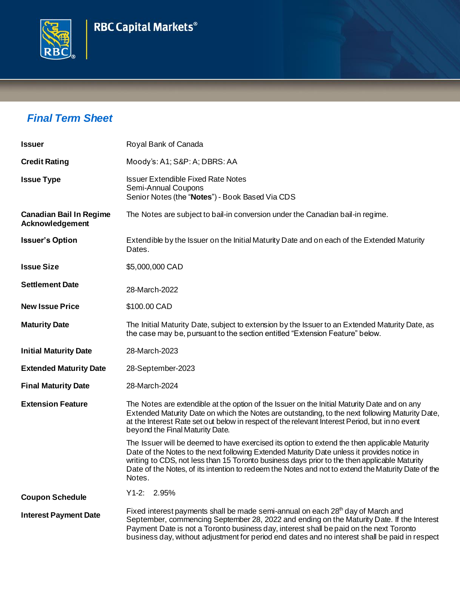# **RBC Capital Markets®**



## *Final Term Sheet*

| <b>Issuer</b>                                     | Royal Bank of Canada                                                                                                                                                                                                                                                                                                                                                                                         |
|---------------------------------------------------|--------------------------------------------------------------------------------------------------------------------------------------------------------------------------------------------------------------------------------------------------------------------------------------------------------------------------------------------------------------------------------------------------------------|
| <b>Credit Rating</b>                              | Moody's: A1; S&P: A; DBRS: AA                                                                                                                                                                                                                                                                                                                                                                                |
| <b>Issue Type</b>                                 | <b>Issuer Extendible Fixed Rate Notes</b><br>Semi-Annual Coupons<br>Senior Notes (the "Notes") - Book Based Via CDS                                                                                                                                                                                                                                                                                          |
| <b>Canadian Bail In Regime</b><br>Acknowledgement | The Notes are subject to bail-in conversion under the Canadian bail-in regime.                                                                                                                                                                                                                                                                                                                               |
| <b>Issuer's Option</b>                            | Extendible by the Issuer on the Initial Maturity Date and on each of the Extended Maturity<br>Dates.                                                                                                                                                                                                                                                                                                         |
| <b>Issue Size</b>                                 | \$5,000,000 CAD                                                                                                                                                                                                                                                                                                                                                                                              |
| <b>Settlement Date</b>                            | 28-March-2022                                                                                                                                                                                                                                                                                                                                                                                                |
| <b>New Issue Price</b>                            | \$100.00 CAD                                                                                                                                                                                                                                                                                                                                                                                                 |
| <b>Maturity Date</b>                              | The Initial Maturity Date, subject to extension by the Issuer to an Extended Maturity Date, as<br>the case may be, pursuant to the section entitled "Extension Feature" below.                                                                                                                                                                                                                               |
| <b>Initial Maturity Date</b>                      | 28-March-2023                                                                                                                                                                                                                                                                                                                                                                                                |
| <b>Extended Maturity Date</b>                     | 28-September-2023                                                                                                                                                                                                                                                                                                                                                                                            |
| <b>Final Maturity Date</b>                        | 28-March-2024                                                                                                                                                                                                                                                                                                                                                                                                |
| <b>Extension Feature</b>                          | The Notes are extendible at the option of the Issuer on the Initial Maturity Date and on any<br>Extended Maturity Date on which the Notes are outstanding, to the next following Maturity Date,<br>at the Interest Rate set out below in respect of the relevant Interest Period, but in no event<br>beyond the Final Maturity Date.                                                                         |
|                                                   | The Issuer will be deemed to have exercised its option to extend the then applicable Maturity<br>Date of the Notes to the next following Extended Maturity Date unless it provides notice in<br>writing to CDS, not less than 15 Toronto business days prior to the then applicable Maturity<br>Date of the Notes, of its intention to redeem the Notes and not to extend the Maturity Date of the<br>Notes. |
| <b>Coupon Schedule</b>                            | $Y1-2: 2.95%$                                                                                                                                                                                                                                                                                                                                                                                                |
| <b>Interest Payment Date</b>                      | Fixed interest payments shall be made semi-annual on each 28 <sup>th</sup> day of March and<br>September, commencing September 28, 2022 and ending on the Maturity Date. If the Interest<br>Payment Date is not a Toronto business day, interest shall be paid on the next Toronto<br>business day, without adjustment for period end dates and no interest shall be paid in respect                         |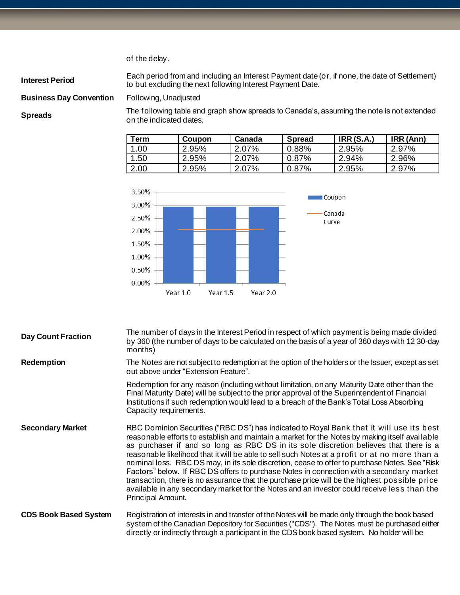of the delay.

**Interest Period** Each period from and including an Interest Payment date (or, if none, the date of Settlement) to but excluding the next following Interest Payment Date.

### **Business Day Convention** Following, Unadjusted

**Spreads** The following table and graph show spreads to Canada's, assuming the note is not extended on the indicated dates.

| Term | Coupon | Canada | <b>Spread</b> | <b>IRR (S.A.)</b> | IRR (Ann) |
|------|--------|--------|---------------|-------------------|-----------|
| 1.00 | 2.95%  | 2.07%  | $0.88\%$      | 2.95%             | 2.97%     |
| 1.50 | 2.95%  | 2.07%  | $0.87\%$      | 2.94%             | 2.96%     |
| 2.00 | 2.95%  | 2.07%  | $0.87\%$      | 2.95%             | 2.97%     |



| <b>Day Count Fraction</b>    | The number of days in the Interest Period in respect of which payment is being made divided<br>by 360 (the number of days to be calculated on the basis of a year of 360 days with 12 30-day<br>months)                                                                                                                                                                                                                                                                                                                                                                                                                                                                                                                                                                                                 |
|------------------------------|---------------------------------------------------------------------------------------------------------------------------------------------------------------------------------------------------------------------------------------------------------------------------------------------------------------------------------------------------------------------------------------------------------------------------------------------------------------------------------------------------------------------------------------------------------------------------------------------------------------------------------------------------------------------------------------------------------------------------------------------------------------------------------------------------------|
| <b>Redemption</b>            | The Notes are not subject to redemption at the option of the holders or the Issuer, except as set<br>out above under "Extension Feature".                                                                                                                                                                                                                                                                                                                                                                                                                                                                                                                                                                                                                                                               |
|                              | Redemption for any reason (including without limitation, on any Maturity Date other than the<br>Final Maturity Date) will be subject to the prior approval of the Superintendent of Financial<br>Institutions if such redemption would lead to a breach of the Bank's Total Loss Absorbing<br>Capacity requirements.                                                                                                                                                                                                                                                                                                                                                                                                                                                                                    |
| <b>Secondary Market</b>      | RBC Dominion Securities ("RBC DS") has indicated to Royal Bank that it will use its best<br>reasonable efforts to establish and maintain a market for the Notes by making itself available<br>as purchaser if and so long as RBC DS in its sole discretion believes that there is a<br>reasonable likelihood that it will be able to sell such Notes at a profit or at no more than a<br>nominal loss. RBC DS may, in its sole discretion, cease to offer to purchase Notes. See "Risk<br>Factors" below. If RBC DS offers to purchase Notes in connection with a secondary market<br>transaction, there is no assurance that the purchase price will be the highest possible price<br>available in any secondary market for the Notes and an investor could receive less than the<br>Principal Amount. |
| <b>CDS Book Based System</b> | Registration of interests in and transfer of the Notes will be made only through the book based<br>system of the Canadian Depository for Securities ("CDS"). The Notes must be purchased either<br>directly or indirectly through a participant in the CDS book based system. No holder will be                                                                                                                                                                                                                                                                                                                                                                                                                                                                                                         |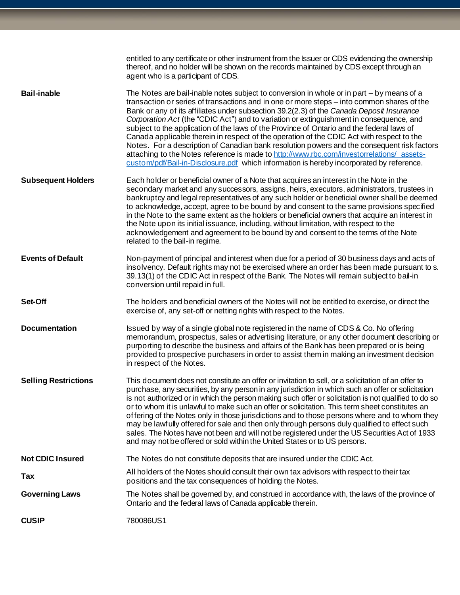|                             | entitled to any certificate or other instrument from the Issuer or CDS evidencing the ownership<br>thereof, and no holder will be shown on the records maintained by CDS except through an<br>agent who is a participant of CDS.                                                                                                                                                                                                                                                                                                                                                                                                                                                                                                                                                                                                                                 |
|-----------------------------|------------------------------------------------------------------------------------------------------------------------------------------------------------------------------------------------------------------------------------------------------------------------------------------------------------------------------------------------------------------------------------------------------------------------------------------------------------------------------------------------------------------------------------------------------------------------------------------------------------------------------------------------------------------------------------------------------------------------------------------------------------------------------------------------------------------------------------------------------------------|
| <b>Bail-inable</b>          | The Notes are bail-inable notes subject to conversion in whole or in part – by means of a<br>transaction or series of transactions and in one or more steps - into common shares of the<br>Bank or any of its affiliates under subsection 39.2(2.3) of the Canada Deposit Insurance<br>Corporation Act (the "CDIC Act") and to variation or extinguishment in consequence, and<br>subject to the application of the laws of the Province of Ontario and the federal laws of<br>Canada applicable therein in respect of the operation of the CDIC Act with respect to the<br>Notes. For a description of Canadian bank resolution powers and the consequent risk factors<br>attaching to the Notes reference is made to http://www.rbc.com/investorrelations/ assets-<br>custom/pdf/Bail-in-Disclosure.pdf which information is hereby incorporated by reference. |
| <b>Subsequent Holders</b>   | Each holder or beneficial owner of a Note that acquires an interest in the Note in the<br>secondary market and any successors, assigns, heirs, executors, administrators, trustees in<br>bankruptcy and legal representatives of any such holder or beneficial owner shall be deemed<br>to acknowledge, accept, agree to be bound by and consent to the same provisions specified<br>in the Note to the same extent as the holders or beneficial owners that acquire an interest in<br>the Note upon its initial issuance, including, without limitation, with respect to the<br>acknowledgement and agreement to be bound by and consent to the terms of the Note<br>related to the bail-in regime.                                                                                                                                                             |
| <b>Events of Default</b>    | Non-payment of principal and interest when due for a period of 30 business days and acts of<br>insolvency. Default rights may not be exercised where an order has been made pursuant to s.<br>39.13(1) of the CDIC Act in respect of the Bank. The Notes will remain subject to bail-in<br>conversion until repaid in full.                                                                                                                                                                                                                                                                                                                                                                                                                                                                                                                                      |
| Set-Off                     | The holders and beneficial owners of the Notes will not be entitled to exercise, or direct the<br>exercise of, any set-off or netting rights with respect to the Notes.                                                                                                                                                                                                                                                                                                                                                                                                                                                                                                                                                                                                                                                                                          |
| <b>Documentation</b>        | Issued by way of a single global note registered in the name of CDS & Co. No offering<br>memorandum, prospectus, sales or advertising literature, or any other document describing or<br>purporting to describe the business and affairs of the Bank has been prepared or is being<br>provided to prospective purchasers in order to assist them in making an investment decision<br>in respect of the Notes.                                                                                                                                                                                                                                                                                                                                                                                                                                                    |
| <b>Selling Restrictions</b> | This document does not constitute an offer or invitation to sell, or a solicitation of an offer to<br>purchase, any securities, by any person in any jurisdiction in which such an offer or solicitation<br>is not authorized or in which the person making such offer or solicitation is not qualified to do so<br>or to whom it is unlawful to make such an offer or solicitation. This term sheet constitutes an<br>offering of the Notes only in those jurisdictions and to those persons where and to whom they<br>may be lawfully offered for sale and then only through persons duly qualified to effect such<br>sales. The Notes have not been and will not be registered under the US Securities Act of 1933<br>and may not be offered or sold within the United States or to US persons.                                                               |
| <b>Not CDIC Insured</b>     | The Notes do not constitute deposits that are insured under the CDIC Act.                                                                                                                                                                                                                                                                                                                                                                                                                                                                                                                                                                                                                                                                                                                                                                                        |
| Tax                         | All holders of the Notes should consult their own tax advisors with respect to their tax<br>positions and the tax consequences of holding the Notes.                                                                                                                                                                                                                                                                                                                                                                                                                                                                                                                                                                                                                                                                                                             |
| <b>Governing Laws</b>       | The Notes shall be governed by, and construed in accordance with, the laws of the province of<br>Ontario and the federal laws of Canada applicable therein.                                                                                                                                                                                                                                                                                                                                                                                                                                                                                                                                                                                                                                                                                                      |
| <b>CUSIP</b>                | 780086US1                                                                                                                                                                                                                                                                                                                                                                                                                                                                                                                                                                                                                                                                                                                                                                                                                                                        |